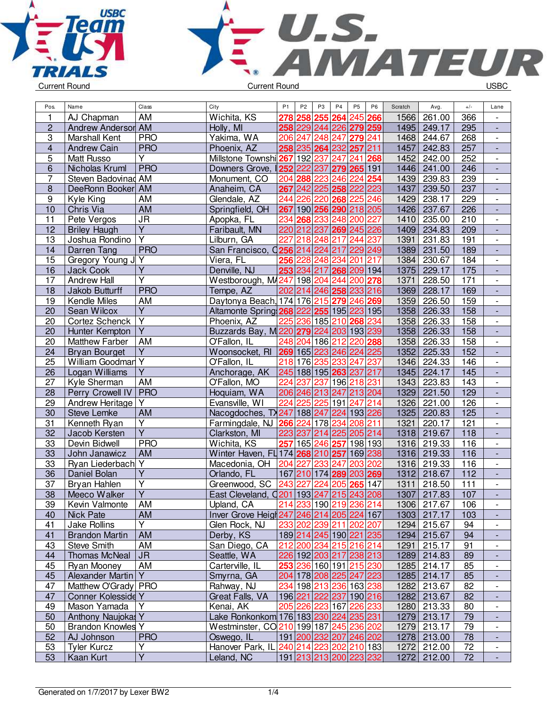



| Pos.             | Name                     | Class                             | City                                      | P <sub>1</sub> | P <sub>2</sub> | P <sub>3</sub> | P <sub>4</sub>          | P <sub>5</sub> | P <sub>6</sub> | Scratch | Avg.        | $+/-$ | Lane                     |
|------------------|--------------------------|-----------------------------------|-------------------------------------------|----------------|----------------|----------------|-------------------------|----------------|----------------|---------|-------------|-------|--------------------------|
| 1                | AJ Chapman               | AM                                | Wichita, KS                               | 278            | 258            | 255            | 264                     | 245 266        |                | 1566    | 261.00      | 366   |                          |
| $\overline{2}$   | Andrew Andersor AM       |                                   | Holly, MI                                 |                |                |                | 258 229 244 226 279 259 |                |                | 1495    | 249.17      | 295   |                          |
| 3                | Marshall Kent            | <b>PRO</b>                        | Yakima, WA                                |                |                |                | 206 247 248 247 279 241 |                |                | 1468    | 244.67      | 268   | $\overline{\phantom{a}}$ |
| 4                | <b>Andrew Cain</b>       | <b>PRO</b>                        | Phoenix, AZ                               |                |                |                | 258 235 264 232 257 211 |                |                | 1457    | 242.83      | 257   | $\frac{1}{2}$            |
| 5                | Matt Russo               | Ÿ                                 | Millstone Townshi 267                     |                |                |                | 192 237 247 241 268     |                |                | 1452    | 242.00      | 252   | $\overline{\phantom{a}}$ |
| 6                | Nicholas Kruml           | <b>PRO</b>                        | Downers Grove,                            |                | 252 222 237    |                | 279 265 191             |                |                | 1446    | 241.00      | 246   | $\overline{\phantom{a}}$ |
| $\overline{7}$   | Steven Badovinad AM      |                                   | Monument, CO                              |                |                |                | 204 288 223 246 224 254 |                |                | 1439    | 239.83      | 239   |                          |
| 8                | DeeRonn Booker AM        |                                   | Anaheim, CA                               |                |                |                | 267 242 225 258 222 223 |                |                | 1437    | 239.50      | 237   | $\overline{\phantom{a}}$ |
| $\boldsymbol{9}$ | Kyle King                | AM                                | Glendale, AZ                              | 244            |                | 226 220        | 268 225                 |                | 246            | 1429    | 238.17      | 229   | $\overline{\phantom{a}}$ |
| 10               | Chris Via                | <b>AM</b>                         | Springfield, OH                           | 267            |                |                | 190 256 290 218 205     |                |                | 1426    | 237.67      | 226   |                          |
| 11               | Pete Vergos              | $\overline{\mathsf{J}\mathsf{R}}$ | Apopka, FL                                |                |                |                | 234 268 233 248 200 227 |                |                | 1410    | 235.00      | 210   | $\overline{\phantom{a}}$ |
| 12               | <b>Briley Haugh</b>      | $\overline{Y}$                    | Faribault, MN                             |                |                |                | 220 212 237 269 245 226 |                |                | 1409    | 234.83      | 209   | $\Box$                   |
| 13               | Joshua Rondino           | $\overline{\mathsf{Y}}$           | Lilburn, GA                               | 227            |                |                | 218 248 217 244 237     |                |                | 1391    | 231.83      | 191   | $\blacksquare$           |
| 14               | Darren Tang              | <b>PRO</b>                        | San Francisco, 0256 214 224 217 229 249   |                |                |                |                         |                |                | 1389    | 231.50      | 189   | $\frac{1}{2}$            |
| 15               | Gregory Young J Y        |                                   | Viera, FL                                 |                |                |                | 256 228 248 234 201 217 |                |                | 1384    | 230.67      | 184   | $\overline{\phantom{a}}$ |
| 16               | <b>Jack Cook</b>         | Υ                                 | Denville, NJ                              |                |                |                | 253 234 217 268 209 194 |                |                | 1375    | 229.17      | 175   | ÷,                       |
| 17               | Andrew Hall              | Y                                 | Westborough, M4247 198 204 244 200 278    |                |                |                |                         |                |                | 1371    | 228.50      | 171   | $\overline{\phantom{a}}$ |
| 18               | Jakob Butturff           | <b>PRO</b>                        | Tempe, AZ                                 |                |                |                | 202 214 246 258 233 216 |                |                | 1369    | 228.17      | 169   |                          |
| 19               | Kendle Miles             | AM                                | Daytonya Beach, 174 176 215 279 246 269   |                |                |                |                         |                |                | 1359    | 226.50      | 159   | $\overline{\phantom{a}}$ |
| 20               | Sean Wilcox              | $\overline{Y}$                    | Altamonte Spring 268 222 255 195 223 195  |                |                |                |                         |                |                | 1358    | 226.33      | 158   | $\blacksquare$           |
| 20               | <b>Cortez Schenck</b>    | $\overline{Y}$                    | Phoenix, AZ                               |                |                |                | 225 236 185 210 268 234 |                |                | 1358    | 226.33      | 158   | $\overline{\phantom{a}}$ |
| 20               | Hunter Kempton           | $\overline{Y}$                    | Buzzards Bay, M220 279 224 203 193 239    |                |                |                |                         |                |                | 1358    | 226.33      | 158   |                          |
| 20               | Matthew Farber           | <b>AM</b>                         | O'Fallon, IL                              |                |                |                | 248 204 186 212 220 288 |                |                | 1358    | 226.33      | 158   | $\blacksquare$           |
|                  |                          | $\overline{Y}$                    |                                           |                |                |                |                         |                |                |         | 225.33      |       | $\frac{1}{2}$            |
| 24               | <b>Bryan Bourget</b>     |                                   | Woonsocket, RI 269 165 223 246 224 225    |                |                |                | 218 176 235 233 247     |                |                | 1352    |             | 152   |                          |
| 25               | William Goodman Y        |                                   | O'Fallon, IL                              |                |                |                |                         |                | 237            | 1346    | 224.33      | 146   | $\overline{\phantom{a}}$ |
| 26               | Logan Williams           | Ÿ                                 | Anchorage, AK                             |                |                |                | 245 188 195 263 237 217 |                |                | 1345    | 224.17      | 145   |                          |
| 27               | Kyle Sherman             | AM                                | O'Fallon, MO                              | 224            | 237            |                | 237 196 218 231         |                |                | 1343    | 223.83      | 143   | $\overline{\phantom{a}}$ |
| 28               | Perry Crowell IV         | <b>PRO</b>                        | Hoquiam, WA                               |                |                |                | 206 246 213 247 213 204 |                |                | 1329    | 221.50      | 129   |                          |
| <u>29</u>        | Andrew Heritage          | $\overline{\mathsf{Y}}$           | Evansville, WI                            |                | 224 225 225    |                | 191 247                 |                | 214            | 1326    | 221.00      | 126   | $\overline{\phantom{a}}$ |
| 30               | Steve Lemke              | AM                                | Nacogdoches, TY247 188 247                |                |                |                | 224 193 226             |                |                | 1325    | 220.83      | 125   | $\blacksquare$           |
| 31               | Kenneth Ryan             | Y                                 | Farmingdale, NJ 266 224 178 234           |                |                |                |                         | 208 211        |                | 1321    | 220.17      | 121   | $\overline{\phantom{a}}$ |
| 32               | Jacob Kersten            | $\overline{Y}$                    | Clarkston, MI                             |                | 223 237        |                | 214 225 205 214         |                |                | 1318    | 219.67      | 118   |                          |
| 33               | Devin Bidwell            | <b>PRO</b>                        | Wichita, KS                               |                |                |                | 257 165 246 257 198 193 |                |                | 1316    | 219.33      | 116   | $\blacksquare$           |
| 33               | John Janawicz            | AM                                | Winter Haven, FL 174 268 210 257          |                |                |                |                         | 169 238        |                | 1316    | 219.33      | 116   | $\frac{1}{2}$            |
| 33               | Ryan Liederbach Y        |                                   | Macedonia, OH                             |                | 204 227        | 233 247        |                         | 203 202        |                | 1316    | 219.33      | 116   | $\overline{\phantom{a}}$ |
| 36               | Daniel Bolan             | Υ                                 | Orlando, FL                               |                |                |                | 167 210 174 289 203 269 |                |                | 1312    | 218.67      | 112   | $\overline{\phantom{a}}$ |
| 37               | Bryan Hahlen             | Υ                                 | Greenwood, SC                             |                | 243 227        |                | 224 205 265 147         |                |                | 1311    | 218.50      | 111   |                          |
| 38               | Meeco Walker             | $\overline{\mathsf{Y}}$           | East Cleveland, Q201 193 247 215 243 208  |                |                |                |                         |                |                | 1307    | 217.83      | 107   |                          |
| 39               | Kevin Valmonte           | <b>AM</b>                         | Upland, CA                                |                |                |                | 214 233 190 219 236 214 |                |                |         | 1306 217.67 | 106   |                          |
| 40               | <b>Nick Pate</b>         | AM                                | Inver Grove Heigt 247 246 214 205 224 167 |                |                |                |                         |                |                | 1303    | 217.17      | 103   |                          |
| 41               | Jake Rollins             | Y                                 | Glen Rock, NJ                             |                |                |                | 233 202 239 211 202 207 |                |                | 1294    | 215.67      | 94    |                          |
| 41               | <b>Brandon Martin</b>    | <b>AM</b>                         | Derby, KS                                 |                |                |                | 189 214 245 190 221 235 |                |                |         | 1294 215.67 | 94    |                          |
| 43               | <b>Steve Smith</b>       | AM                                | San Diego, CA                             |                |                |                | 212 200 234 215 216 214 |                |                | 1291    | 215.17      | 91    | $\overline{\phantom{a}}$ |
| 44               | <b>Thomas McNeal</b>     | JR                                | Seattle, WA                               |                |                |                | 226 192 203 217 238 213 |                |                |         | 1289 214.83 | 89    | $\overline{\phantom{a}}$ |
| 45               | Ryan Mooney              | AM                                | Carterville, IL                           |                |                |                | 253 236 160 191 215 230 |                |                | 1285    | 214.17      | 85    | $\overline{\phantom{a}}$ |
| 45               | Alexander Martin Y       |                                   | Smyrna, GA                                |                |                |                | 204 178 208 225 247 223 |                |                | 1285    | 214.17      | 85    | ٠                        |
| 47               | Matthew O'Grady   PRO    |                                   | Rahway, NJ                                |                |                |                | 234 198 213 236 163 238 |                |                | 1282    | 213.67      | 82    | $\overline{\phantom{a}}$ |
| 47               | Conner Kolesside Y       |                                   | Great Falls, VA                           |                |                |                | 196 221 222 237 190 216 |                |                | 1282    | 213.67      | 82    |                          |
| 49               | Mason Yamada             | İΥ                                | Kenai, AK                                 |                |                |                | 205 226 223 167 226 233 |                |                | 1280    | 213.33      | 80    |                          |
| 50               | Anthony Naujokas Y       |                                   | Lake Ronkonkom 176 183 230 224 235 231    |                |                |                |                         |                |                |         | 1279 213.17 | 79    |                          |
| 50               | <b>Brandon Knowles Y</b> |                                   | Westminster, CO210 199 187 245 236 202    |                |                |                |                         |                |                | 1279    | 213.17      | 79    |                          |
| 52               | AJ Johnson               | <b>PRO</b>                        | Oswego, IL                                |                |                |                | 191 200 232 207 246 202 |                |                |         | 1278 213.00 | 78    |                          |
| 53               | <b>Tyler Kurcz</b>       | $\overline{Y}$                    | Hanover Park, IL 240 214 223 202 210 183  |                |                |                |                         |                |                | 1272    | 212.00      | 72    | $\overline{\phantom{a}}$ |
| 53               | Kaan Kurt                | $\overline{Y}$                    | Leland, NC                                |                |                |                | 191 213 213 200 223 232 |                |                |         | 1272 212.00 | 72    | $\blacksquare$           |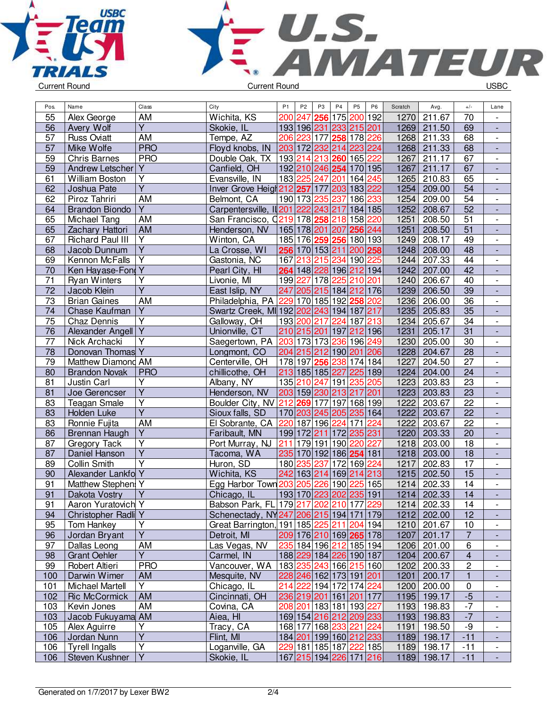



| Pos.            | Name                    | Class                                     | City                                      | P <sub>1</sub> | P <sub>2</sub> | P <sub>3</sub> | P4                                    | P <sub>5</sub> | P <sub>6</sub> | Scratch | Avg.        | $+/-$                   | Lane                     |
|-----------------|-------------------------|-------------------------------------------|-------------------------------------------|----------------|----------------|----------------|---------------------------------------|----------------|----------------|---------|-------------|-------------------------|--------------------------|
| 55              | Alex George             | AM                                        | Wichita, KS                               | 200            | 247            | 256            | 175                                   | 200 192        |                | 1270    | 211.67      | 70                      |                          |
| 56              | Avery Wolf              | $\overline{Y}$                            | Skokie, IL                                |                |                |                | 193 196 231 233 215 201               |                |                | 1269    | 211.50      | 69                      |                          |
| 57              | <b>Russ Oviatt</b>      | <b>AM</b>                                 | Tempe, AZ                                 |                |                |                | 206 223 177 258 178 226               |                |                | 1268    | 211.33      | 68                      | $\overline{\phantom{a}}$ |
| 57              | Mike Wolfe              | <b>PRO</b>                                | Floyd knobs, IN                           |                |                |                | 203 172 232 214 223 224               |                |                | 1268    | 211.33      | 68                      | $\frac{1}{2}$            |
| 59              | <b>Chris Barnes</b>     | <b>PRO</b>                                | Double Oak, TX                            |                |                |                | 193 214 213 260 165 222               |                |                | 1267    | 211.17      | 67                      | $\overline{\phantom{a}}$ |
| 59              | <b>Andrew Letscher</b>  | Y                                         | Canfield, OH                              |                |                |                | 192 210 246 254                       | 170 195        |                | 1267    | 211.17      | 67                      | $\overline{\phantom{a}}$ |
| 61              | William Boston          | Y                                         | Evansville, IN                            |                |                |                | 183 225 247 201                       | 164 245        |                | 1265    | 210.83      | 65                      | $\overline{\phantom{a}}$ |
| 62              | Joshua Pate             | $\overline{Y}$                            | Inver Grove Heigh 212 257 177             |                |                |                | 203 183 222                           |                |                | 1254    | 209.00      | 54                      |                          |
| 62              | Piroz Tahriri           | <b>AM</b>                                 | Belmont, CA                               |                | 190 173 235    |                | 237                                   | 186 233        |                | 1254    | 209.00      | $\overline{54}$         | $\overline{\phantom{a}}$ |
| 64              | <b>Brandon Biondo</b>   | $\overline{Y}$                            | Carpentersville, II 201 222 243 217       |                |                |                |                                       | 184 185        |                | 1252    | 208.67      | 52                      |                          |
| 65              | Michael Tang            | AM                                        | San Francisco, 0219 178 258 218 158 220   |                |                |                |                                       |                |                | 1251    | 208.50      | 51                      | $\overline{\phantom{a}}$ |
| 65              | Zachary Hattori         | <b>AM</b>                                 | Henderson, NV                             |                |                |                | 165 178 201 207 256 244               |                |                | 1251    | 208.50      | $\overline{51}$         |                          |
| 67              | <b>Richard Paul III</b> | $\overline{Y}$                            | Winton, CA                                |                |                |                | 185 176 259 256 180 193               |                |                | 1249    | 208.17      | 49                      | $\blacksquare$           |
| 68              | Jacob Dunnum            | $\overline{Y}$                            | La Crosse, WI                             |                |                |                | 256 170 153 211 200 258               |                |                | 1248    | 208.00      | 48                      | $\frac{1}{2}$            |
| 69              | Kennon McFalls          | Y                                         | Gastonia, NC                              | 167            |                |                | 213 215 234                           | 190 225        |                | 1244    | 207.33      | 44                      | $\overline{\phantom{a}}$ |
| 70              | Ken Hayase-Fond Y       |                                           | Pearl City, HI                            |                |                |                | 264 148 228 196 212 194               |                |                | 1242    | 207.00      | 42                      | $\overline{\phantom{a}}$ |
| $\overline{71}$ | <b>Ryan Winters</b>     | Υ                                         | Livonie, MI                               |                |                |                | 199 227 178 225 210 201               |                |                | 1240    | 206.67      | 40                      | $\overline{\phantom{a}}$ |
| $\overline{72}$ | Jacob Klein             | $\overline{Y}$                            | East Islip, NY                            |                |                |                | 247 205 215 184 212 176               |                |                | 1239    | 206.50      | $\overline{39}$         |                          |
| 73              | <b>Brian Gaines</b>     | <b>AM</b>                                 | Philadelphia, PA 229 170 185 192 258 202  |                |                |                |                                       |                |                | 1236    | 206.00      | $\overline{36}$         | $\overline{\phantom{a}}$ |
| 74              | Chase Kaufman           | $\overline{\mathsf{Y}}$                   | Swartz Creek, MI 192 202 243 194 187 217  |                |                |                |                                       |                |                | 1235    | 205.83      | $\overline{35}$         | $\overline{\phantom{a}}$ |
| 75              | Chaz Dennis             | $\overline{Y}$                            | Galloway, OH                              |                |                |                | 193 200 217 224 187 213               |                |                | 1234    | 205.67      | 34                      | $\overline{a}$           |
| $\overline{76}$ | Alexander Angell Y      |                                           | Unionville, CT                            |                |                |                | 210 215 201 197 212 196               |                |                | 1231    | 205.17      | $\overline{31}$         |                          |
| $\overline{77}$ | Nick Archacki           | $\overline{Y}$                            | Saegertown, PA 203 173 173 236 196 249    |                |                |                |                                       |                |                | 1230    | 205.00      | 30                      | $\overline{\phantom{a}}$ |
| 78              |                         |                                           |                                           |                |                |                | 204 215 212 190 201 206               |                |                | 1228    | 204.67      |                         | $\blacksquare$           |
|                 | Donovan Thomas Y        |                                           | Longmont, CO                              |                |                |                |                                       |                |                |         |             | 28                      |                          |
| 79              | Matthew Diamond AM      |                                           | Centerville, OH                           |                |                |                | 178 197 256 238 174 184               |                |                | 1227    | 204.50      | 27                      | $\overline{\phantom{a}}$ |
| 80              | <b>Brandon Novak</b>    | <b>PRO</b>                                | chillicothe, OH                           |                |                |                | 213 185 185 227                       | 225 189        |                | 1224    | 204.00      | 24                      |                          |
| 81              | Justin Carl             | Υ<br>$\overline{\mathsf{Y}}$              | Albany, NY                                |                |                |                | 135 210 247 191 235 205               |                |                | 1223    | 203.83      | 23                      | $\overline{\phantom{a}}$ |
| 81              | Joe Gerencser           |                                           | Henderson, NV                             |                |                |                | 203 159 230 213 217 201               |                |                | 1223    | 203.83      | $\overline{23}$         |                          |
| 83              | <b>Teagan Smale</b>     | $\overline{Y}$<br>$\overline{\mathsf{Y}}$ | Boulder City, NV 212 269 177              |                |                |                |                                       | 197 168 199    |                | 1222    | 203.67      | $\overline{22}$         | $\overline{\phantom{a}}$ |
| 83              | Holden Luke             |                                           | Sioux falls, SD                           |                |                |                | 170 203 245 205 235 164               |                |                | 1222    | 203.67      | $\overline{22}$         | $\blacksquare$           |
| 83              | Ronnie Fujita           | <b>AM</b>                                 | El Sobrante, CA                           |                |                |                | 220 187 196 224                       | 171 224        |                | 1222    | 203.67      | 22                      | $\overline{\phantom{a}}$ |
| 86              | Brennan Haugh           | $\overline{Y}$                            | Faribault, MN                             |                |                |                | 199 172 211 172 235 231               |                |                | 1220    | 203.33      | $\overline{20}$         |                          |
| 87              | Gregory Tack            | $\overline{Y}$                            | Port Murray, NJ                           | 211            |                |                | 179 191 190                           | 220 227        |                | 1218    | 203.00      | $\overline{18}$         | $\blacksquare$           |
| 87              | Daniel Hanson           | $\overline{\mathsf{Y}}$                   | Tacoma, WA                                |                |                |                | 235 170 192 186 254 181               |                |                | 1218    | 203.00      | 18                      | $\frac{1}{2}$            |
| 89              | Collin Smith            | $\overline{\mathsf{Y}}$                   | Huron, SD                                 |                | 180 235 237    |                |                                       | 172 169 224    |                | 1217    | 202.83      | 17                      | $\overline{\phantom{a}}$ |
| 90              | Alexander Lankfo Y      |                                           | Wichita, KS                               |                |                |                | 242 163 214 169 214 213               |                |                | 1215    | 202.50      | 15                      | $\overline{\phantom{a}}$ |
| 91              | Matthew Stephen: Y      |                                           | Egg Harbor Town 203 205 226 190           |                |                |                |                                       | 225 165        |                | 1214    | 202.33      | 14                      |                          |
| 91              | Dakota Vostry           | $\overline{Y}$                            | Chicago, IL                               |                |                |                | 193 170 223 202 235 191               |                |                | 1214    | 202.33      | $\overline{14}$         |                          |
| 91              | Aaron Yuratovich Y      |                                           | Babson Park, FL 179 217 202 210 177 229   |                |                |                |                                       |                |                |         | 1214 202.33 | $\overline{14}$         |                          |
| 94              | Christopher Radli Y     |                                           | Schenectady, NY247 206 215 194 171 179    |                |                |                |                                       |                |                | 1212    | 202.00      | 12                      |                          |
| 95              | Tom Hankey              | Υ                                         | Great Barrington, 191 185 225 211 204 194 |                |                |                |                                       |                |                | 1210    | 201.67      | 10                      |                          |
| 96              | Jordan Bryant           | $\overline{Y}$                            | Detroit, MI                               |                |                |                | 209 176 210 169 265 178               |                |                | 1207    | 201.17      | $\overline{7}$          |                          |
| 97              | Dallas Leong            | AM                                        | Las Vegas, NV                             |                |                |                | 235 184 196 212 185 194               |                |                | 1206    | 201.00      | 6                       | $\overline{\phantom{a}}$ |
| 98              | <b>Grant Oehler</b>     | Y                                         | Carmel, IN                                |                |                |                | 188 229 184 226 190 187               |                |                | 1204    | 200.67      | $\overline{\mathbf{4}}$ |                          |
| 99              | Robert Altieri          | <b>PRO</b>                                | Vancouver, WA                             |                |                |                | 183 235 243 166 215 160               |                |                | 1202    | 200.33      | $\overline{\mathbf{c}}$ | $\overline{\phantom{a}}$ |
| 100             | Darwin Wimer            | <b>AM</b>                                 | Mesquite, NV                              |                |                |                | 228 246 162 173 191 201               |                |                | 1201    | 200.17      | 1                       | $\overline{\phantom{a}}$ |
| 101             | <b>Michael Martell</b>  | Y                                         | Chicago, IL                               |                |                |                | 214 222 194 172 174 224               |                |                | 1200    | 200.00      | 0                       |                          |
| 102             | <b>Ric McCormick</b>    | AM                                        | Cincinnati, OH                            |                |                |                | 236 219 201 161 201 177               |                |                |         | 1195 199.17 | $-5$                    |                          |
| 103             | Kevin Jones             | AM                                        | Covina, CA                                |                |                |                | 208 201 183 181 193  <mark>227</mark> |                |                | 1193    | 198.83      | $-7$                    | $\overline{\phantom{a}}$ |
| 103             | Jacob Fukuyama AM       |                                           | Aiea, HI                                  |                |                |                | 169 154 216 212 209 233               |                |                | 1193    | 198.83      | $-7$                    | $\overline{\phantom{a}}$ |
| 105             | Alex Aguirre            | Υ                                         | Tracy, CA                                 |                |                |                | 168 177 168 233 221 224               |                |                | 1191    | 198.50      | -9                      |                          |
| 106             | Jordan Nunn             | $\overline{\mathsf{Y}}$                   | Flint, MI                                 |                |                |                | 184 201 199 160 212 233               |                |                |         | 1189 198.17 | $-11$                   |                          |
| 106             | <b>Tyrell Ingalls</b>   | $\overline{Y}$                            | Loganville, GA                            |                |                |                | 229 181 185 187 222 185               |                |                | 1189    | 198.17      | $-11$                   | $\overline{\phantom{a}}$ |
| 106             | Steven Kushner          | $\overline{Y}$                            | Skokie, IL                                |                |                |                | 167 215 194 226 171 216               |                |                |         | 1189 198.17 | $-11$                   | $\blacksquare$           |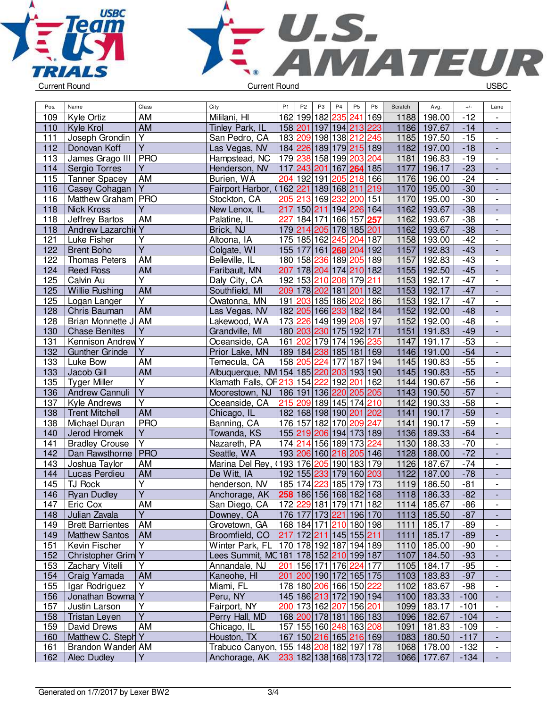



| Pos. | Name                    | Class                   | City                                              | P <sub>1</sub> | P <sub>2</sub>                                       | P <sub>3</sub> | P <sub>4</sub>      | P <sub>5</sub> | P <sub>6</sub>          | Scratch | Avg.        | $+/-$  | Lane                     |
|------|-------------------------|-------------------------|---------------------------------------------------|----------------|------------------------------------------------------|----------------|---------------------|----------------|-------------------------|---------|-------------|--------|--------------------------|
| 109  | Kyle Ortiz              | AM                      | Mililani, HI                                      |                | 162 199 182 235 241                                  |                |                     |                | 169                     | 1188    | 198.00      | $-12$  |                          |
| 110  | Kyle Krol               | AM                      | Tinley Park, IL                                   |                | 158 201 197 194 213 223                              |                |                     |                |                         | 1186    | 197.67      | $-14$  | $\overline{\phantom{a}}$ |
| 111  | Joseph Grondin          | $\overline{Y}$          | San Pedro, CA                                     |                | 183 209 198 138 212 245                              |                |                     |                |                         | 1185    | 197.50      | $-15$  | $\blacksquare$           |
| 112  | Donovan Koff            | $\overline{Y}$          | Las Vegas, NV                                     |                | 184 226 189 179 215 189                              |                |                     |                |                         | 1182    | 197.00      | $-18$  | ÷,                       |
| 113  | James Grago III         | $ $ PRO                 | Hampstead, NC                                     |                | 179 238 158 199 203 204                              |                |                     |                |                         | 1181    | 196.83      | $-19$  | $\blacksquare$           |
| 114  | Sergio Torres           | Y                       | Henderson, NV                                     |                | 117 243 201                                          |                |                     | 167 264 185    |                         | 1177    | 196.17      | $-23$  | $\overline{\phantom{a}}$ |
| 115  | <b>Tanner Spacey</b>    | AM                      | Burien, WA                                        |                | 204 192 191                                          |                | 205                 | 218 166        |                         | 1176    | 196.00      | $-24$  | $\overline{\phantom{a}}$ |
| 116  | Casey Cohagan           | Y                       | Fairport Harbor,<br>0                             |                | 162 221 189 168 211                                  |                |                     |                | 219                     | 1170    | 195.00      | $-30$  | $\overline{\phantom{a}}$ |
| 116  | Matthew Graham PRO      |                         | Stockton, CA                                      |                | 205 213 169 232                                      |                |                     | 200 151        |                         | 1170    | 195.00      | $-30$  | $\overline{\phantom{a}}$ |
| 118  | <b>Nick Kross</b>       | Y                       | New Lenox, IL                                     | 217            |                                                      |                | 150 211 194 226 164 |                |                         | 1162    | 193.67      | $-38$  | L.                       |
| 118  | Jeffrey Bartos          | AM                      | Palatine, IL                                      | 227            |                                                      |                | 184 171 166 157 257 |                |                         | 1162    | 193.67      | $-38$  | $\overline{\phantom{a}}$ |
| 118  | <b>Andrew Lazarchio</b> | Y                       | Brick, NJ                                         |                | 179 214 205 178 185 201                              |                |                     |                |                         | 1162    | 193.67      | $-38$  | $\blacksquare$           |
| 121  | Luke Fisher             | $\overline{\mathsf{Y}}$ | Altoona, IA                                       |                | 175 185 162 245 204 187                              |                |                     |                |                         | 1158    | 193.00      | $-42$  | $\blacksquare$           |
| 122  | <b>Brent Boho</b>       | $\overline{Y}$          | Colgate, WI                                       |                | 155 177 161 268 204 192                              |                |                     |                |                         | 1157    | 192.83      | $-43$  | $\Box$                   |
| 122  | <b>Thomas Peters</b>    | AM                      | Belleville, IL                                    |                | 180 158 236 189 205 189                              |                |                     |                |                         | 1157    | 192.83      | $-43$  | $\overline{\phantom{a}}$ |
| 124  | <b>Reed Ross</b>        | AM                      | Faribault, MN                                     | 207            |                                                      |                | 178 204 174 210 182 |                |                         | 1155    | 192.50      | $-45$  | $\overline{\phantom{a}}$ |
| 125  | Calvin Au               | Υ                       | Daly City, CA                                     |                | 192 153 210 208 179 211                              |                |                     |                |                         | 1153    | 192.17      | $-47$  | $\overline{\phantom{a}}$ |
| 125  | Willie Rushing          | AM                      | Southfield, MI                                    |                | 209 178 202 181 201                                  |                |                     |                | 182                     | 1153    | 192.17      | $-47$  | $\overline{\phantom{a}}$ |
| 125  | Logan Langer            | $\overline{Y}$          | Owatonna, MN                                      |                | 191 203 185 186 202                                  |                |                     |                | 186                     | 1153    | 192.17      | $-47$  | $\overline{\phantom{a}}$ |
| 128  | Chris Bauman            | <b>AM</b>               | Las Vegas, NV                                     |                | 182 205 166 233 182 184                              |                |                     |                |                         | 1152    | 192.00      | $-48$  | $\overline{\phantom{a}}$ |
| 128  | Brian Monnette JI AM    |                         | Lakewood, WA                                      |                | 173 226 149 199 208 197                              |                |                     |                |                         | 1152    | 192.00      | $-48$  | $\overline{\phantom{a}}$ |
| 130  | <b>Chase Benites</b>    | Y                       | Grandville, MI                                    |                | 180 203 230 175 192 171                              |                |                     |                |                         | 1151    | 191.83      | $-49$  | $\blacksquare$           |
| 131  | Kennison Andrew Y       |                         | Oceanside, CA                                     |                | 161 202 179 174 196 235                              |                |                     |                |                         | 1147    | 191.17      | $-53$  | $\overline{\phantom{a}}$ |
| 132  | <b>Gunther Grinde</b>   | $\overline{Y}$          | Prior Lake, MN                                    |                | 189 184 238 185 181                                  |                |                     |                | 169                     | 1146    | 191.00      | $-54$  | ÷,                       |
| 133  | Luke Bow                | AM                      | Temecula, CA                                      |                | 158 205 224 177                                      |                |                     | 187            | 194                     | 1145    | 190.83      | $-55$  | $\overline{\phantom{a}}$ |
| 133  | Jacob Gill              | AM                      | Albuquerque, NM 154 185 220 203 193 190           |                |                                                      |                |                     |                |                         | 1145    | 190.83      | $-55$  | $\overline{\phantom{a}}$ |
| 135  | <b>Tyger Miller</b>     | Υ                       | Klamath Falls, OF 213 154 222                     |                |                                                      |                | 192 201             |                | 162                     | 1144    | 190.67      | $-56$  | $\overline{\phantom{a}}$ |
| 136  | <b>Andrew Cannuli</b>   | $\overline{Y}$          | Moorestown, NJ   186  191  136  220  205  205     |                |                                                      |                |                     |                |                         | 1143    | 190.50      | $-57$  | $\overline{\phantom{a}}$ |
| 137  | Kyle Andrews            | $\overline{\mathsf{Y}}$ | Oceanside, CA                                     |                | 215 209 189 145 174 210                              |                |                     |                |                         | 1142    | 190.33      | $-58$  | $\overline{\phantom{a}}$ |
| 138  | <b>Trent Mitchell</b>   | <b>AM</b>               | Chicago, IL                                       |                | 182 168 198 190 201 202                              |                |                     |                |                         | 1141    | 190.17      | $-59$  | $\overline{\phantom{a}}$ |
| 138  | Michael Duran           | <b>PRO</b>              | Banning, CA                                       |                | 176 157 182 170 209 247                              |                |                     |                |                         | 1141    | 190.17      | $-59$  | $\overline{\phantom{a}}$ |
| 140  | Jerod Hromek            | $\overline{Y}$          | Towanda, KS                                       |                | 155 219 206 194 173 189                              |                |                     |                |                         | 1136    | 189.33      | $-64$  | $\overline{\phantom{a}}$ |
| 141  | <b>Bradley Crouse</b>   | $\overline{\mathsf{Y}}$ | Nazareth, PA                                      |                | 174 214 156 189 173 224                              |                |                     |                |                         | 1130    | 188.33      | $-70$  | $\overline{\phantom{a}}$ |
| 142  | Dan Rawsthorne          | PRO                     | Seattle, WA                                       |                | 193 206 160 218 205 146                              |                |                     |                |                         | 1128    | 188.00      | $-72$  | $\overline{\phantom{a}}$ |
| 143  | Joshua Taylor           | AM                      | Marina Del Rey, (193 176 205                      |                |                                                      |                |                     | 190 183 179    |                         | 1126    | 187.67      | $-74$  | $\overline{\phantom{a}}$ |
| 144  | Lucas Perdieu           | AM                      | De Witt, IA                                       |                | 192 155 233                                          |                | 179                 |                | 160 203                 | 1122    | 187.00      | $-78$  | $\overline{\phantom{a}}$ |
| 145  | TJ Rock                 | Y                       | henderson, NV                                     |                | 185 174 223                                          |                | 185                 |                | 179 173                 | 1119    | 186.50      | $-81$  | $\overline{\phantom{a}}$ |
| 146  | <b>Ryan Dudley</b>      | $\overline{Y}$          | Anchorage, AK                                     |                | 258 186 156 168 182 168                              |                |                     |                |                         | 1118    | 186.33      | $-82$  | $\overline{\phantom{0}}$ |
| 147  | Eric Cox                | AM                      | San Diego, CA                                     |                | 172 229 181 179 171 182                              |                |                     |                |                         |         | 1114 185.67 | $-86$  |                          |
| 148  | Julian Zavala           | $\overline{Y}$          | Downey, CA                                        |                |                                                      |                |                     |                | 176 177 173 221 196 170 |         | 1113 185.50 | $-87$  |                          |
| 149  | <b>Brett Barrientes</b> | AM                      | Grovetown, GA                                     |                | 168 184 171 210 180 198                              |                |                     |                |                         | 1111    | 185.17      | -89    | $\overline{\phantom{a}}$ |
| 149  | <b>Matthew Santos</b>   | AM                      | Broomfield, CO                                    |                | 217 172 211 145 155 211                              |                |                     |                |                         | 1111    | 185.17      | $-89$  |                          |
| 151  | Kevin Fischer           | $\overline{Y}$          | Winter Park, FL                                   |                | 170 178 192 187 194 189                              |                |                     |                |                         | 1110    | 185.00      | $-90$  | $\overline{\phantom{a}}$ |
| 152  | Christopher Grim Y      |                         | Lees Summit, MQ181 178 152 210 199 187            |                |                                                      |                |                     |                |                         | 1107    | 184.50      | $-93$  | $\overline{\phantom{0}}$ |
| 153  | Zachary Vitelli         | Y                       | Annandale, NJ                                     |                | 201 156 171 176  <mark>224</mark>  177               |                |                     |                |                         | 1105    | 184.17      | $-95$  | $\overline{\phantom{a}}$ |
| 154  | Craig Yamada            | AM                      | Kaneohe, HI                                       |                | 201 200 190 172 165 175                              |                |                     |                |                         |         | 1103 183.83 | $-97$  | $\overline{\phantom{a}}$ |
| 155  | Igar Rodriguez          | Y                       | Miami, FL                                         |                | 178 180 206 166 150 222                              |                |                     |                |                         | 1102    | 183.67      | -98    | $\overline{\phantom{a}}$ |
| 156  | Jonathan Bowma Y        |                         | Peru, NY                                          |                | 145 186 213 172 190 194                              |                |                     |                |                         | 1100    | 183.33      | $-100$ | $\overline{\phantom{a}}$ |
| 157  | Justin Larson           | Υ                       | Fairport, NY                                      |                | 200 173 162  <mark>207</mark>  156  <mark>201</mark> |                |                     |                |                         | 1099    | 183.17      | $-101$ |                          |
| 158  | <b>Tristan Leyen</b>    | $\overline{Y}$          | Perry Hall, MD                                    |                | 168 200 178 181 186 183                              |                |                     |                |                         |         | 1096 182.67 | $-104$ | $\overline{\phantom{a}}$ |
| 159  | David Drews             | <b>AM</b>               | Chicago, IL                                       |                | 157 155 160 248 163 208                              |                |                     |                |                         | 1091    | 181.83      | $-109$ | $\overline{\phantom{a}}$ |
| 160  | Matthew C. Steph Y      |                         | Houston, TX                                       |                | 167 150 216 165 216 169                              |                |                     |                |                         | 1083    | 180.50      | $-117$ | $\overline{\phantom{a}}$ |
| 161  | Brandon Wander AM       |                         | Trabuco Canyon, 155 148 208 182 197 178           |                |                                                      |                |                     |                |                         | 1068    | 178.00      | $-132$ | $\overline{\phantom{a}}$ |
| 162  | Alec Dudley             | $\overline{Y}$          | Anchorage, AK   233   182   138   168   173   172 |                |                                                      |                |                     |                |                         |         | 1066 177.67 | $-134$ | ÷,                       |